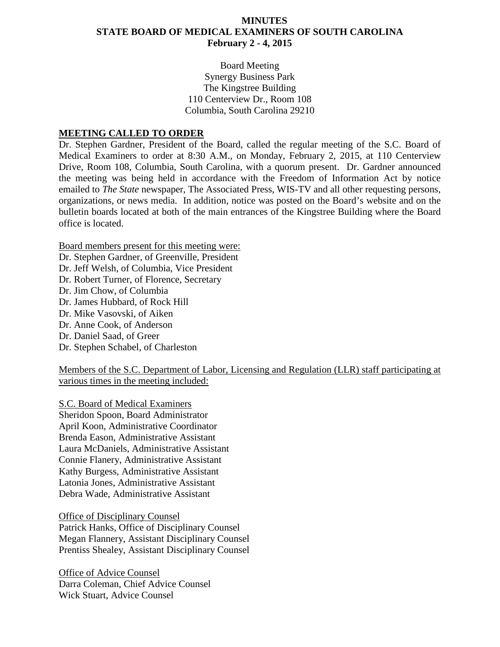## **MINUTES STATE BOARD OF MEDICAL EXAMINERS OF SOUTH CAROLINA February 2 - 4, 2015**

Board Meeting Synergy Business Park The Kingstree Building 110 Centerview Dr., Room 108 Columbia, South Carolina 29210

#### **MEETING CALLED TO ORDER**

Dr. Stephen Gardner, President of the Board, called the regular meeting of the S.C. Board of Medical Examiners to order at 8:30 A.M., on Monday, February 2, 2015, at 110 Centerview Drive, Room 108, Columbia, South Carolina, with a quorum present. Dr. Gardner announced the meeting was being held in accordance with the Freedom of Information Act by notice emailed to *The State* newspaper, The Associated Press, WIS-TV and all other requesting persons, organizations, or news media. In addition, notice was posted on the Board's website and on the bulletin boards located at both of the main entrances of the Kingstree Building where the Board office is located.

Board members present for this meeting were:

Dr. Stephen Gardner, of Greenville, President Dr. Jeff Welsh, of Columbia, Vice President Dr. Robert Turner, of Florence, Secretary Dr. Jim Chow, of Columbia Dr. James Hubbard, of Rock Hill Dr. Mike Vasovski, of Aiken Dr. Anne Cook, of Anderson Dr. Daniel Saad, of Greer Dr. Stephen Schabel, of Charleston

Members of the S.C. Department of Labor, Licensing and Regulation (LLR) staff participating at various times in the meeting included:

S.C. Board of Medical Examiners Sheridon Spoon, Board Administrator April Koon, Administrative Coordinator Brenda Eason, Administrative Assistant Laura McDaniels, Administrative Assistant Connie Flanery, Administrative Assistant Kathy Burgess, Administrative Assistant Latonia Jones, Administrative Assistant Debra Wade, Administrative Assistant

Office of Disciplinary Counsel Patrick Hanks, Office of Disciplinary Counsel Megan Flannery, Assistant Disciplinary Counsel Prentiss Shealey, Assistant Disciplinary Counsel

Office of Advice Counsel Darra Coleman, Chief Advice Counsel Wick Stuart, Advice Counsel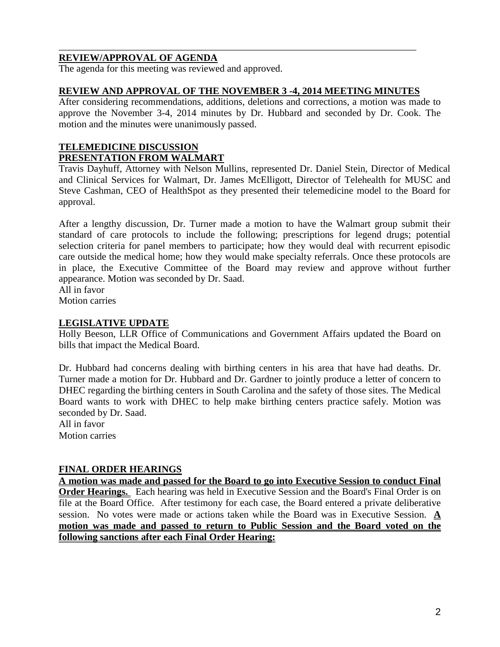## **REVIEW/APPROVAL OF AGENDA**

The agenda for this meeting was reviewed and approved.

### **REVIEW AND APPROVAL OF THE NOVEMBER 3 -4, 2014 MEETING MINUTES**

\_\_\_\_\_\_\_\_\_\_\_\_\_\_\_\_\_\_\_\_\_\_\_\_\_\_\_\_\_\_\_\_\_\_\_\_\_\_\_\_\_\_\_\_\_\_\_\_\_\_\_\_\_\_\_\_\_\_\_\_\_\_\_\_\_\_\_\_\_\_\_\_\_

After considering recommendations, additions, deletions and corrections, a motion was made to approve the November 3-4, 2014 minutes by Dr. Hubbard and seconded by Dr. Cook. The motion and the minutes were unanimously passed.

## **TELEMEDICINE DISCUSSION PRESENTATION FROM WALMART**

Travis Dayhuff, Attorney with Nelson Mullins, represented Dr. Daniel Stein, Director of Medical and Clinical Services for Walmart, Dr. James McElligott, Director of Telehealth for MUSC and Steve Cashman, CEO of HealthSpot as they presented their telemedicine model to the Board for approval.

After a lengthy discussion, Dr. Turner made a motion to have the Walmart group submit their standard of care protocols to include the following; prescriptions for legend drugs; potential selection criteria for panel members to participate; how they would deal with recurrent episodic care outside the medical home; how they would make specialty referrals. Once these protocols are in place, the Executive Committee of the Board may review and approve without further appearance. Motion was seconded by Dr. Saad. All in favor

Motion carries

### **LEGISLATIVE UPDATE**

Holly Beeson, LLR Office of Communications and Government Affairs updated the Board on bills that impact the Medical Board.

Dr. Hubbard had concerns dealing with birthing centers in his area that have had deaths. Dr. Turner made a motion for Dr. Hubbard and Dr. Gardner to jointly produce a letter of concern to DHEC regarding the birthing centers in South Carolina and the safety of those sites. The Medical Board wants to work with DHEC to help make birthing centers practice safely. Motion was seconded by Dr. Saad.

All in favor Motion carries

## **FINAL ORDER HEARINGS**

**A motion was made and passed for the Board to go into Executive Session to conduct Final Order Hearings.** Each hearing was held in Executive Session and the Board's Final Order is on file at the Board Office. After testimony for each case, the Board entered a private deliberative session. No votes were made or actions taken while the Board was in Executive Session. **A motion was made and passed to return to Public Session and the Board voted on the following sanctions after each Final Order Hearing:**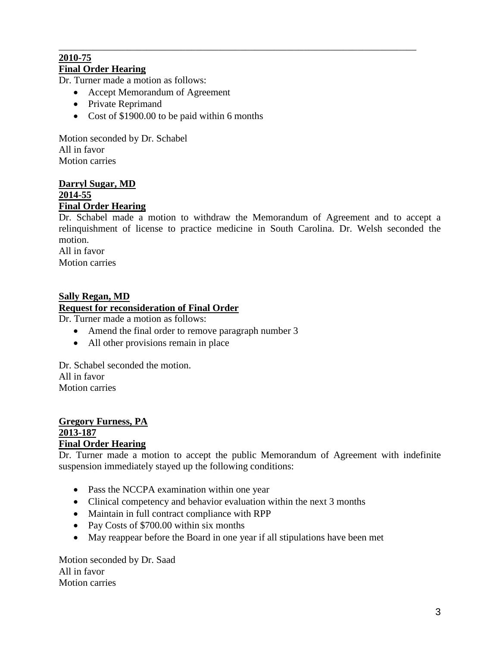#### \_\_\_\_\_\_\_\_\_\_\_\_\_\_\_\_\_\_\_\_\_\_\_\_\_\_\_\_\_\_\_\_\_\_\_\_\_\_\_\_\_\_\_\_\_\_\_\_\_\_\_\_\_\_\_\_\_\_\_\_\_\_\_\_\_\_\_\_\_\_\_\_\_ **2010-75 Final Order Hearing**

Dr. Turner made a motion as follows:

- Accept Memorandum of Agreement
- Private Reprimand
- Cost of \$1900.00 to be paid within 6 months

Motion seconded by Dr. Schabel All in favor Motion carries

#### **Darryl Sugar, MD 2014-55 Final Order Hearing**

Dr. Schabel made a motion to withdraw the Memorandum of Agreement and to accept a relinquishment of license to practice medicine in South Carolina. Dr. Welsh seconded the motion. All in favor

Motion carries

## **Sally Regan, MD**

### **Request for reconsideration of Final Order**

Dr. Turner made a motion as follows:

- Amend the final order to remove paragraph number 3
- All other provisions remain in place

Dr. Schabel seconded the motion. All in favor Motion carries

#### **Gregory Furness, PA 2013-187 Final Order Hearing**

Dr. Turner made a motion to accept the public Memorandum of Agreement with indefinite suspension immediately stayed up the following conditions:

- Pass the NCCPA examination within one year
- Clinical competency and behavior evaluation within the next 3 months
- Maintain in full contract compliance with RPP
- Pay Costs of \$700.00 within six months
- May reappear before the Board in one year if all stipulations have been met

Motion seconded by Dr. Saad All in favor Motion carries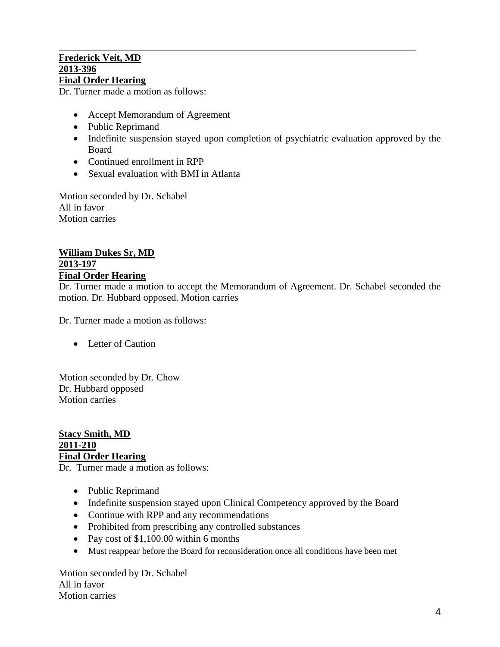#### \_\_\_\_\_\_\_\_\_\_\_\_\_\_\_\_\_\_\_\_\_\_\_\_\_\_\_\_\_\_\_\_\_\_\_\_\_\_\_\_\_\_\_\_\_\_\_\_\_\_\_\_\_\_\_\_\_\_\_\_\_\_\_\_\_\_\_\_\_\_\_\_\_ **Frederick Veit, MD 2013-396 Final Order Hearing**

Dr. Turner made a motion as follows:

- Accept Memorandum of Agreement
- Public Reprimand
- Indefinite suspension stayed upon completion of psychiatric evaluation approved by the Board
- Continued enrollment in RPP
- Sexual evaluation with BMI in Atlanta

Motion seconded by Dr. Schabel All in favor Motion carries

### **William Dukes Sr, MD 2013-197 Final Order Hearing**

Dr. Turner made a motion to accept the Memorandum of Agreement. Dr. Schabel seconded the motion. Dr. Hubbard opposed. Motion carries

Dr. Turner made a motion as follows:

• Letter of Caution

Motion seconded by Dr. Chow Dr. Hubbard opposed Motion carries

**Stacy Smith, MD 2011-210 Final Order Hearing**

Dr. Turner made a motion as follows:

- Public Reprimand
- Indefinite suspension stayed upon Clinical Competency approved by the Board
- Continue with RPP and any recommendations
- Prohibited from prescribing any controlled substances
- Pay cost of \$1,100.00 within 6 months
- Must reappear before the Board for reconsideration once all conditions have been met

Motion seconded by Dr. Schabel All in favor Motion carries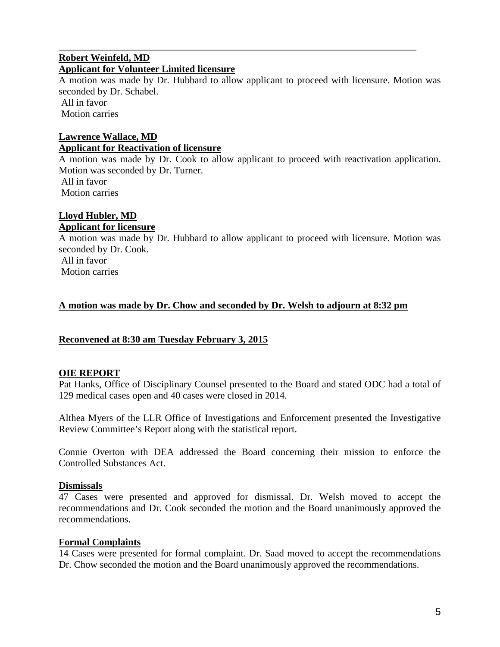#### \_\_\_\_\_\_\_\_\_\_\_\_\_\_\_\_\_\_\_\_\_\_\_\_\_\_\_\_\_\_\_\_\_\_\_\_\_\_\_\_\_\_\_\_\_\_\_\_\_\_\_\_\_\_\_\_\_\_\_\_\_\_\_\_\_\_\_\_\_\_\_\_\_ **Robert Weinfeld, MD Applicant for Volunteer Limited licensure**

A motion was made by Dr. Hubbard to allow applicant to proceed with licensure. Motion was seconded by Dr. Schabel.

All in favor Motion carries

## **Lawrence Wallace, MD Applicant for Reactivation of licensure**

A motion was made by Dr. Cook to allow applicant to proceed with reactivation application. Motion was seconded by Dr. Turner. All in favor

Motion carries

# **Lloyd Hubler, MD**

## **Applicant for licensure**

A motion was made by Dr. Hubbard to allow applicant to proceed with licensure. Motion was seconded by Dr. Cook.

All in favor Motion carries

# **A motion was made by Dr. Chow and seconded by Dr. Welsh to adjourn at 8:32 pm**

## **Reconvened at 8:30 am Tuesday February 3, 2015**

## **OIE REPORT**

Pat Hanks, Office of Disciplinary Counsel presented to the Board and stated ODC had a total of 129 medical cases open and 40 cases were closed in 2014.

Althea Myers of the LLR Office of Investigations and Enforcement presented the Investigative Review Committee's Report along with the statistical report.

Connie Overton with DEA addressed the Board concerning their mission to enforce the Controlled Substances Act.

## **Dismissals**

47 Cases were presented and approved for dismissal. Dr. Welsh moved to accept the recommendations and Dr. Cook seconded the motion and the Board unanimously approved the recommendations.

## **Formal Complaints**

14 Cases were presented for formal complaint. Dr. Saad moved to accept the recommendations Dr. Chow seconded the motion and the Board unanimously approved the recommendations.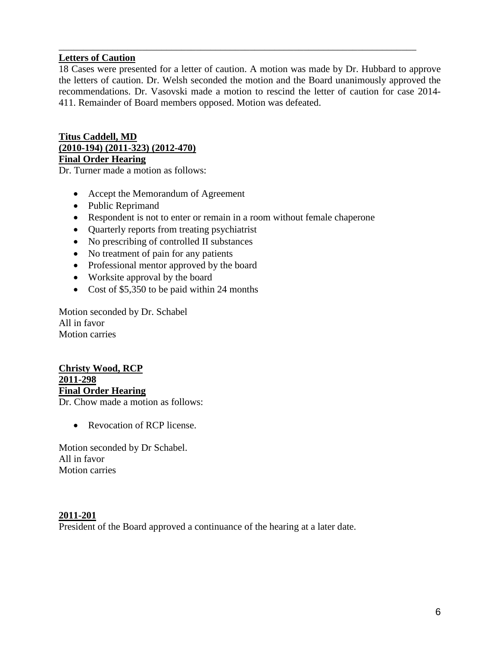## **Letters of Caution**

18 Cases were presented for a letter of caution. A motion was made by Dr. Hubbard to approve the letters of caution. Dr. Welsh seconded the motion and the Board unanimously approved the recommendations. Dr. Vasovski made a motion to rescind the letter of caution for case 2014- 411. Remainder of Board members opposed. Motion was defeated.

\_\_\_\_\_\_\_\_\_\_\_\_\_\_\_\_\_\_\_\_\_\_\_\_\_\_\_\_\_\_\_\_\_\_\_\_\_\_\_\_\_\_\_\_\_\_\_\_\_\_\_\_\_\_\_\_\_\_\_\_\_\_\_\_\_\_\_\_\_\_\_\_\_

## **Titus Caddell, MD (2010-194) (2011-323) (2012-470) Final Order Hearing**

Dr. Turner made a motion as follows:

- Accept the Memorandum of Agreement
- Public Reprimand
- Respondent is not to enter or remain in a room without female chaperone
- Quarterly reports from treating psychiatrist
- No prescribing of controlled II substances
- No treatment of pain for any patients
- Professional mentor approved by the board
- Worksite approval by the board
- Cost of \$5,350 to be paid within 24 months

Motion seconded by Dr. Schabel All in favor Motion carries

#### **Christy Wood, RCP 2011-298 Final Order Hearing** Dr. Chow made a motion as follows:

• Revocation of RCP license.

Motion seconded by Dr Schabel. All in favor Motion carries

### **2011-201**

President of the Board approved a continuance of the hearing at a later date.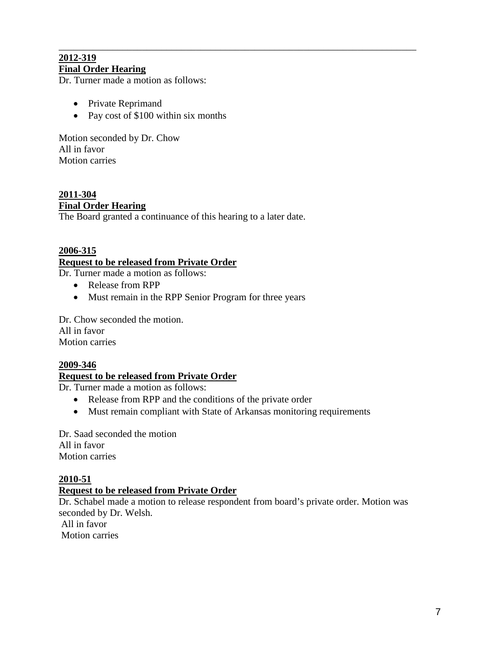### \_\_\_\_\_\_\_\_\_\_\_\_\_\_\_\_\_\_\_\_\_\_\_\_\_\_\_\_\_\_\_\_\_\_\_\_\_\_\_\_\_\_\_\_\_\_\_\_\_\_\_\_\_\_\_\_\_\_\_\_\_\_\_\_\_\_\_\_\_\_\_\_\_ **2012-319 Final Order Hearing**

Dr. Turner made a motion as follows:

- Private Reprimand
- Pay cost of \$100 within six months

Motion seconded by Dr. Chow All in favor Motion carries

**2011-304 Final Order Hearing** The Board granted a continuance of this hearing to a later date.

# **2006-315 Request to be released from Private Order**

Dr. Turner made a motion as follows:

- Release from RPP
- Must remain in the RPP Senior Program for three years

Dr. Chow seconded the motion. All in favor Motion carries

### **2009-346**

### **Request to be released from Private Order**

Dr. Turner made a motion as follows:

- Release from RPP and the conditions of the private order
- Must remain compliant with State of Arkansas monitoring requirements

Dr. Saad seconded the motion All in favor Motion carries

### **2010-51**

### **Request to be released from Private Order**

Dr. Schabel made a motion to release respondent from board's private order. Motion was seconded by Dr. Welsh.

All in favor Motion carries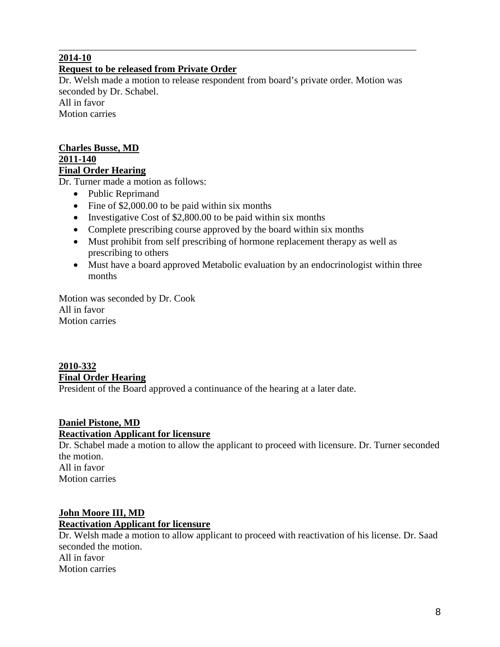## **2014-10**

## **Request to be released from Private Order**

Dr. Welsh made a motion to release respondent from board's private order. Motion was seconded by Dr. Schabel. All in favor Motion carries

\_\_\_\_\_\_\_\_\_\_\_\_\_\_\_\_\_\_\_\_\_\_\_\_\_\_\_\_\_\_\_\_\_\_\_\_\_\_\_\_\_\_\_\_\_\_\_\_\_\_\_\_\_\_\_\_\_\_\_\_\_\_\_\_\_\_\_\_\_\_\_\_\_

**Charles Busse, MD 2011-140 Final Order Hearing**

Dr. Turner made a motion as follows:

- Public Reprimand
- Fine of \$2,000.00 to be paid within six months
- Investigative Cost of \$2,800.00 to be paid within six months
- Complete prescribing course approved by the board within six months
- Must prohibit from self prescribing of hormone replacement therapy as well as prescribing to others
- Must have a board approved Metabolic evaluation by an endocrinologist within three months

Motion was seconded by Dr. Cook All in favor Motion carries

# **2010-332 Final Order Hearing**

President of the Board approved a continuance of the hearing at a later date.

### **Daniel Pistone, MD Reactivation Applicant for licensure**

Dr. Schabel made a motion to allow the applicant to proceed with licensure. Dr. Turner seconded the motion. All in favor Motion carries

## **John Moore III, MD**

### **Reactivation Applicant for licensure**

Dr. Welsh made a motion to allow applicant to proceed with reactivation of his license. Dr. Saad seconded the motion. All in favor Motion carries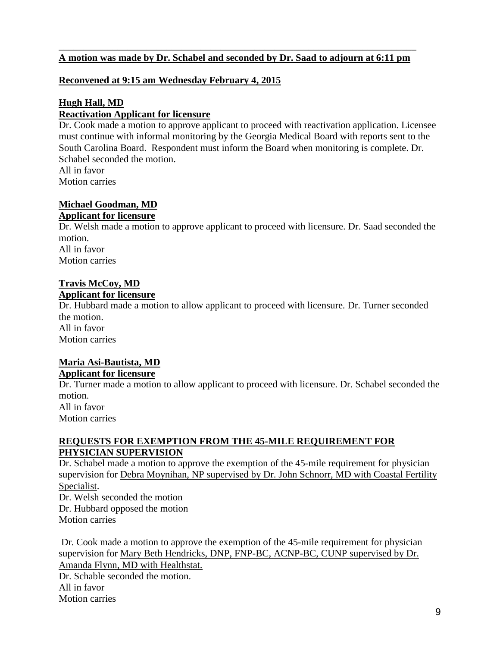### \_\_\_\_\_\_\_\_\_\_\_\_\_\_\_\_\_\_\_\_\_\_\_\_\_\_\_\_\_\_\_\_\_\_\_\_\_\_\_\_\_\_\_\_\_\_\_\_\_\_\_\_\_\_\_\_\_\_\_\_\_\_\_\_\_\_\_\_\_\_\_\_\_ **A motion was made by Dr. Schabel and seconded by Dr. Saad to adjourn at 6:11 pm**

### **Reconvened at 9:15 am Wednesday February 4, 2015**

### **Hugh Hall, MD Reactivation Applicant for licensure**

Dr. Cook made a motion to approve applicant to proceed with reactivation application. Licensee must continue with informal monitoring by the Georgia Medical Board with reports sent to the South Carolina Board. Respondent must inform the Board when monitoring is complete. Dr. Schabel seconded the motion. All in favor Motion carries

## **Michael Goodman, MD**

### **Applicant for licensure**

Dr. Welsh made a motion to approve applicant to proceed with licensure. Dr. Saad seconded the motion. All in favor Motion carries

# **Travis McCoy, MD**

#### **Applicant for licensure**

Dr. Hubbard made a motion to allow applicant to proceed with licensure. Dr. Turner seconded the motion. All in favor

Motion carries

## **Maria Asi-Bautista, MD Applicant for licensure**

Dr. Turner made a motion to allow applicant to proceed with licensure. Dr. Schabel seconded the motion.

All in favor Motion carries

### **REQUESTS FOR EXEMPTION FROM THE 45-MILE REQUIREMENT FOR PHYSICIAN SUPERVISION**

Dr. Schabel made a motion to approve the exemption of the 45-mile requirement for physician supervision for Debra Moynihan, NP supervised by Dr. John Schnorr, MD with Coastal Fertility Specialist.

Dr. Welsh seconded the motion Dr. Hubbard opposed the motion Motion carries

Dr. Cook made a motion to approve the exemption of the 45-mile requirement for physician supervision for Mary Beth Hendricks, DNP, FNP-BC, ACNP-BC, CUNP supervised by Dr. Amanda Flynn, MD with Healthstat. Dr. Schable seconded the motion. All in favor Motion carries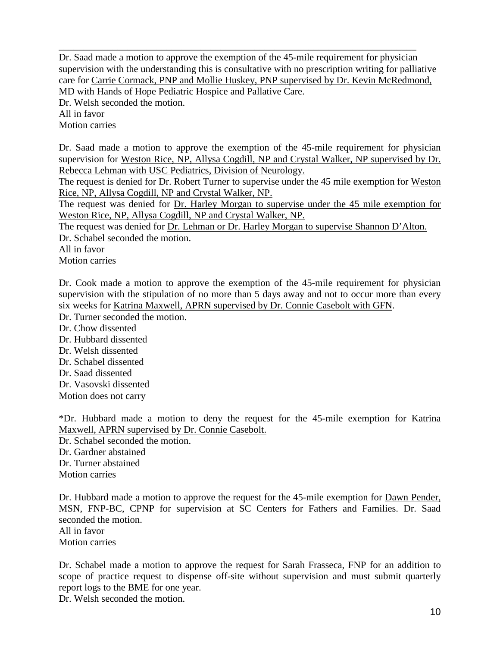\_\_\_\_\_\_\_\_\_\_\_\_\_\_\_\_\_\_\_\_\_\_\_\_\_\_\_\_\_\_\_\_\_\_\_\_\_\_\_\_\_\_\_\_\_\_\_\_\_\_\_\_\_\_\_\_\_\_\_\_\_\_\_\_\_\_\_\_\_\_\_\_\_ Dr. Saad made a motion to approve the exemption of the 45-mile requirement for physician supervision with the understanding this is consultative with no prescription writing for palliative care for Carrie Cormack, PNP and Mollie Huskey, PNP supervised by Dr. Kevin McRedmond, MD with Hands of Hope Pediatric Hospice and Pallative Care.

Dr. Welsh seconded the motion. All in favor Motion carries

Dr. Saad made a motion to approve the exemption of the 45-mile requirement for physician supervision for Weston Rice, NP, Allysa Cogdill, NP and Crystal Walker, NP supervised by Dr. Rebecca Lehman with USC Pediatrics, Division of Neurology.

The request is denied for Dr. Robert Turner to supervise under the 45 mile exemption for Weston Rice, NP, Allysa Cogdill, NP and Crystal Walker, NP.

The request was denied for Dr. Harley Morgan to supervise under the 45 mile exemption for Weston Rice, NP, Allysa Cogdill, NP and Crystal Walker, NP.

The request was denied for Dr. Lehman or Dr. Harley Morgan to supervise Shannon D'Alton.

Dr. Schabel seconded the motion.

All in favor

Motion carries

Dr. Cook made a motion to approve the exemption of the 45-mile requirement for physician supervision with the stipulation of no more than 5 days away and not to occur more than every six weeks for Katrina Maxwell, APRN supervised by Dr. Connie Casebolt with GFN.

Dr. Turner seconded the motion.

Dr. Chow dissented Dr. Hubbard dissented

- Dr. Welsh dissented
- Dr. Schabel dissented
- Dr. Saad dissented

Dr. Vasovski dissented

Motion does not carry

\*Dr. Hubbard made a motion to deny the request for the 45-mile exemption for Katrina Maxwell, APRN supervised by Dr. Connie Casebolt.

Dr. Schabel seconded the motion. Dr. Gardner abstained Dr. Turner abstained Motion carries

Dr. Hubbard made a motion to approve the request for the 45-mile exemption for Dawn Pender, MSN, FNP-BC, CPNP for supervision at SC Centers for Fathers and Families. Dr. Saad seconded the motion. All in favor

Motion carries

Dr. Schabel made a motion to approve the request for Sarah Frasseca, FNP for an addition to scope of practice request to dispense off-site without supervision and must submit quarterly report logs to the BME for one year.

Dr. Welsh seconded the motion.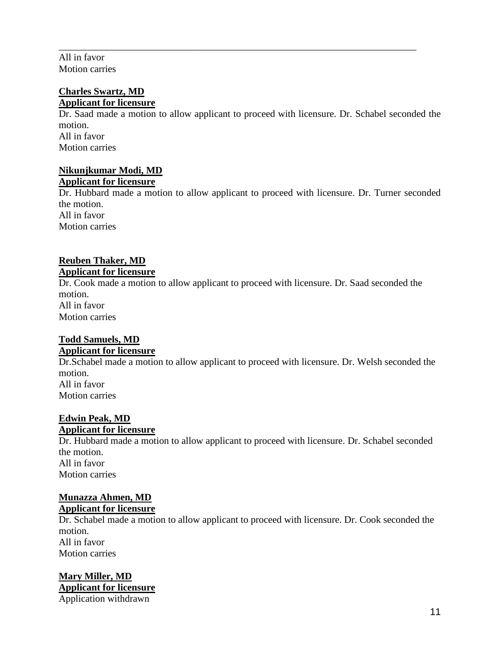All in favor Motion carries

### **Charles Swartz, MD Applicant for licensure**

Dr. Saad made a motion to allow applicant to proceed with licensure. Dr. Schabel seconded the motion. All in favor Motion carries

\_\_\_\_\_\_\_\_\_\_\_\_\_\_\_\_\_\_\_\_\_\_\_\_\_\_\_\_\_\_\_\_\_\_\_\_\_\_\_\_\_\_\_\_\_\_\_\_\_\_\_\_\_\_\_\_\_\_\_\_\_\_\_\_\_\_\_\_\_\_\_\_\_

### **Nikunjkumar Modi, MD Applicant for licensure**

Dr. Hubbard made a motion to allow applicant to proceed with licensure. Dr. Turner seconded the motion. All in favor Motion carries

## **Reuben Thaker, MD Applicant for licensure**

Dr. Cook made a motion to allow applicant to proceed with licensure. Dr. Saad seconded the motion. All in favor Motion carries

# **Todd Samuels, MD**

## **Applicant for licensure**

Dr.Schabel made a motion to allow applicant to proceed with licensure. Dr. Welsh seconded the motion. All in favor Motion carries

## **Edwin Peak, MD**

## **Applicant for licensure**

Dr. Hubbard made a motion to allow applicant to proceed with licensure. Dr. Schabel seconded the motion. All in favor Motion carries

## **Munazza Ahmen, MD Applicant for licensure**

Dr. Schabel made a motion to allow applicant to proceed with licensure. Dr. Cook seconded the motion. All in favor Motion carries

### **Mary Miller, MD Applicant for licensure** Application withdrawn